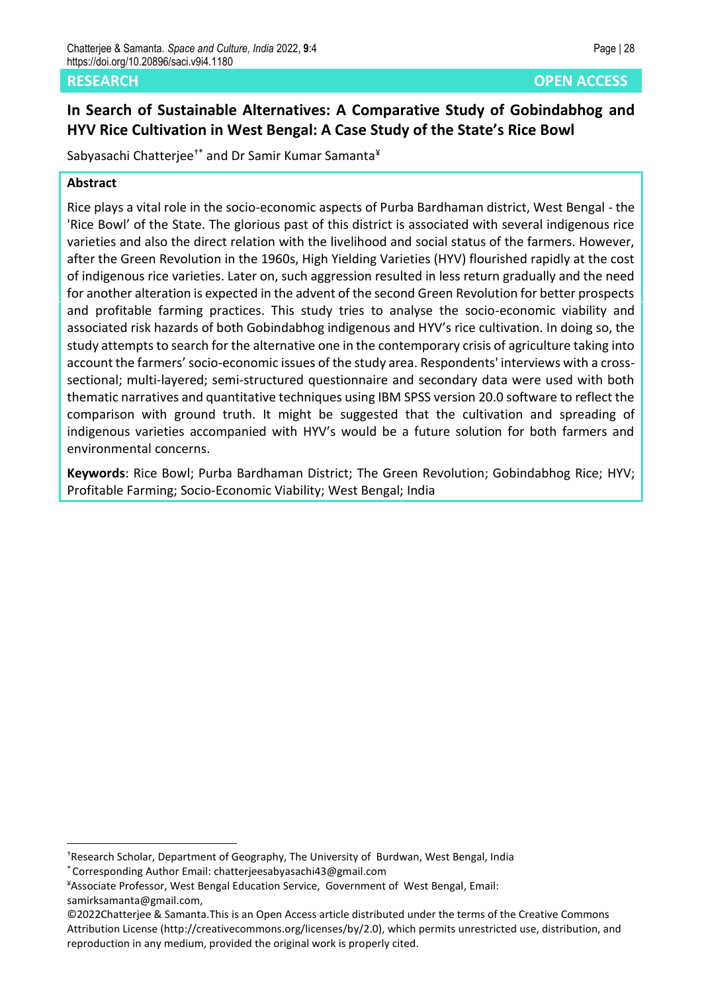# **In Search of Sustainable Alternatives: A Comparative Study of Gobindabhog and HYV Rice Cultivation in West Bengal: A Case Study of the State's Rice Bowl**

Sabyasachi Chatterjee<sup>†\*</sup> and Dr Samir Kumar Samanta<sup>¥</sup>

#### **Abstract**

Rice plays a vital role in the socio-economic aspects of Purba Bardhaman district, West Bengal - the 'Rice Bowl' of the State. The glorious past of this district is associated with several indigenous rice varieties and also the direct relation with the livelihood and social status of the farmers. However, after the Green Revolution in the 1960s, High Yielding Varieties (HYV) flourished rapidly at the cost of indigenous rice varieties. Later on, such aggression resulted in less return gradually and the need for another alteration is expected in the advent of the second Green Revolution for better prospects and profitable farming practices. This study tries to analyse the socio-economic viability and associated risk hazards of both Gobindabhog indigenous and HYV's rice cultivation. In doing so, the study attempts to search for the alternative one in the contemporary crisis of agriculture taking into account the farmers'socio-economic issues of the study area. Respondents' interviews with a crosssectional; multi-layered; semi-structured questionnaire and secondary data were used with both thematic narratives and quantitative techniques using IBM SPSS version 20.0 software to reflect the comparison with ground truth. It might be suggested that the cultivation and spreading of indigenous varieties accompanied with HYV's would be a future solution for both farmers and environmental concerns.

**Keywords**: Rice Bowl; Purba Bardhaman District; The Green Revolution; Gobindabhog Rice; HYV; Profitable Farming; Socio-Economic Viability; West Bengal; India

<sup>†</sup>Research Scholar, Department of Geography, The University of Burdwan, West Bengal, India \* Corresponding Author Email: chatterjeesabyasachi43@gmail.com

<sup>¥</sup>Associate Professor, West Bengal Education Service, Government of West Bengal, Email: samirksamanta@gmail.com,

<sup>©2022</sup>Chatterjee & Samanta.This is an Open Access article distributed under the terms of the Creative Commons Attribution License (http://creativecommons.org/licenses/by/2.0), which permits unrestricted use, distribution, and reproduction in any medium, provided the original work is properly cited.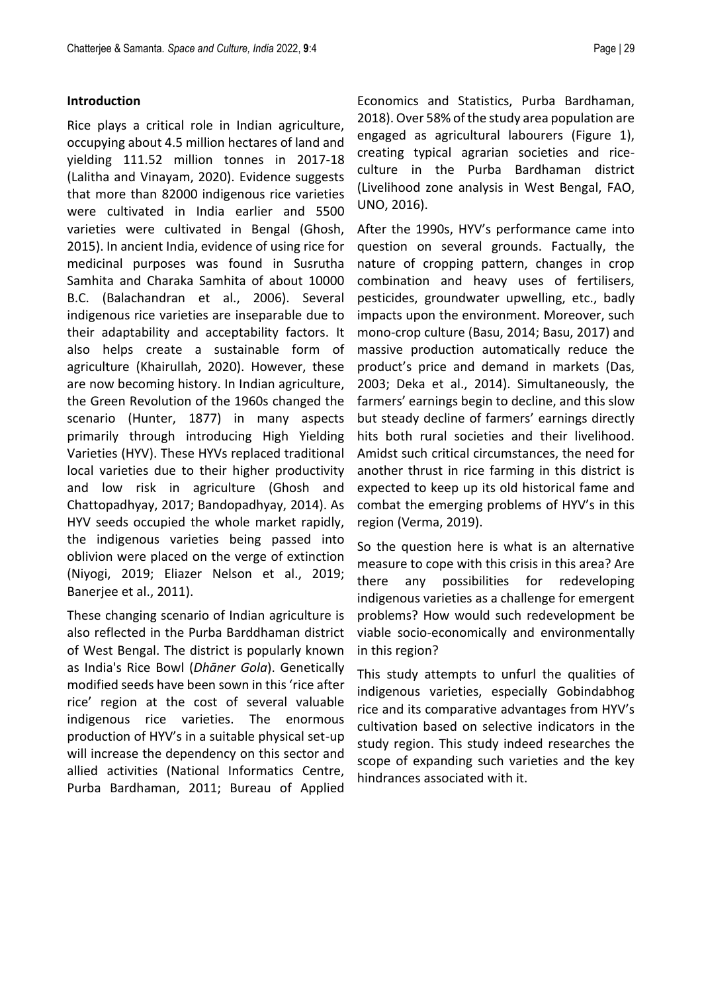#### **Introduction**

Rice plays a critical role in Indian agriculture, occupying about 4.5 million hectares of land and yielding 111.52 million tonnes in 2017-18 (Lalitha and Vinayam, 2020). Evidence suggests that more than 82000 indigenous rice varieties were cultivated in India earlier and 5500 varieties were cultivated in Bengal (Ghosh, 2015). In ancient India, evidence of using rice for medicinal purposes was found in Susrutha Samhita and Charaka Samhita of about 10000 B.C. (Balachandran et al., 2006). Several indigenous rice varieties are inseparable due to their adaptability and acceptability factors. It also helps create a sustainable form of agriculture (Khairullah, 2020). However, these are now becoming history. In Indian agriculture, the Green Revolution of the 1960s changed the scenario (Hunter, 1877) in many aspects primarily through introducing High Yielding Varieties (HYV). These HYVs replaced traditional local varieties due to their higher productivity and low risk in agriculture (Ghosh and Chattopadhyay, 2017; Bandopadhyay, 2014). As HYV seeds occupied the whole market rapidly, the indigenous varieties being passed into oblivion were placed on the verge of extinction (Niyogi, 2019; Eliazer Nelson et al., 2019; Banerjee et al., 2011).

These changing scenario of Indian agriculture is also reflected in the Purba Barddhaman district of West Bengal. The district is popularly known as India's Rice Bowl (*Dhāner Gola*). Genetically modified seeds have been sown in this 'rice after rice' region at the cost of several valuable indigenous rice varieties. The enormous production of HYV's in a suitable physical set-up will increase the dependency on this sector and allied activities (National Informatics Centre, Purba Bardhaman, 2011; Bureau of Applied

Economics and Statistics, Purba Bardhaman, 2018). Over 58% of the study area population are engaged as agricultural labourers (Figure 1), creating typical agrarian societies and riceculture in the Purba Bardhaman district (Livelihood zone analysis in West Bengal, FAO, UNO, 2016).

After the 1990s, HYV's performance came into question on several grounds. Factually, the nature of cropping pattern, changes in crop combination and heavy uses of fertilisers, pesticides, groundwater upwelling, etc., badly impacts upon the environment. Moreover, such mono-crop culture (Basu, 2014; Basu, 2017) and massive production automatically reduce the product's price and demand in markets (Das, 2003; Deka et al., 2014). Simultaneously, the farmers' earnings begin to decline, and this slow but steady decline of farmers' earnings directly hits both rural societies and their livelihood. Amidst such critical circumstances, the need for another thrust in rice farming in this district is expected to keep up its old historical fame and combat the emerging problems of HYV's in this region (Verma, 2019).

So the question here is what is an alternative measure to cope with this crisis in this area? Are there any possibilities for redeveloping indigenous varieties as a challenge for emergent problems? How would such redevelopment be viable socio-economically and environmentally in this region?

This study attempts to unfurl the qualities of indigenous varieties, especially Gobindabhog rice and its comparative advantages from HYV's cultivation based on selective indicators in the study region. This study indeed researches the scope of expanding such varieties and the key hindrances associated with it.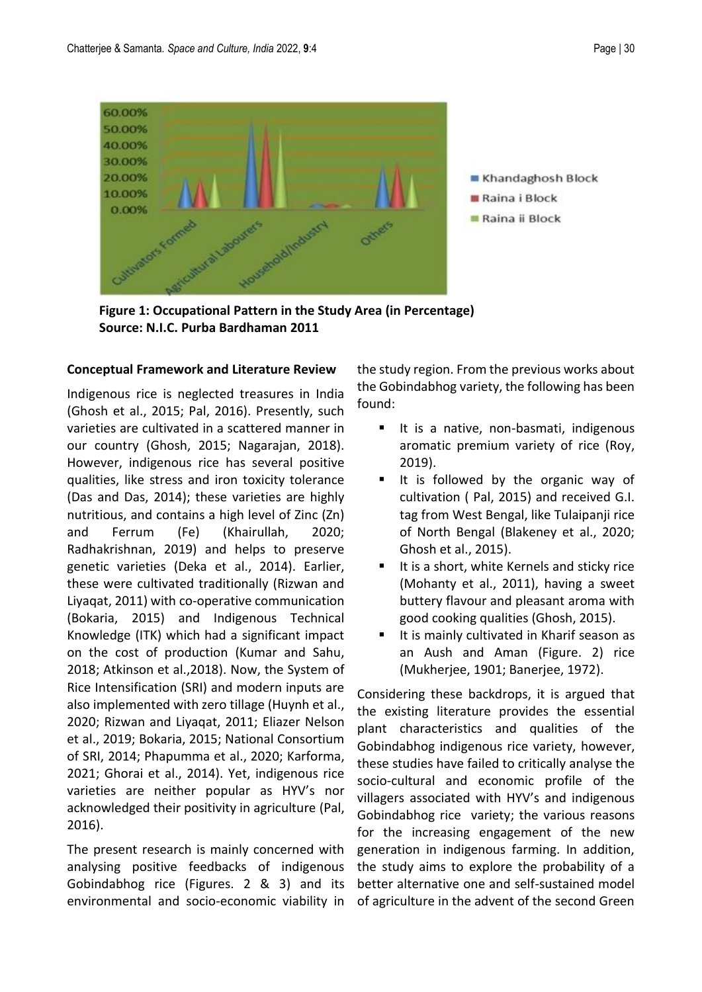

 **Figure 1: Occupational Pattern in the Study Area (in Percentage) Source: N.I.C. Purba Bardhaman 2011**

#### **Conceptual Framework and Literature Review**

Indigenous rice is neglected treasures in India (Ghosh et al., 2015; Pal, 2016). Presently, such varieties are cultivated in a scattered manner in our country (Ghosh, 2015; Nagarajan, 2018). However, indigenous rice has several positive qualities, like stress and iron toxicity tolerance (Das and Das, 2014); these varieties are highly nutritious, and contains a high level of Zinc (Zn) and Ferrum (Fe) (Khairullah, 2020; Radhakrishnan, 2019) and helps to preserve genetic varieties (Deka et al., 2014). Earlier, these were cultivated traditionally (Rizwan and Liyaqat, 2011) with co-operative communication (Bokaria, 2015) and Indigenous Technical Knowledge (ITK) which had a significant impact on the cost of production (Kumar and Sahu, 2018; Atkinson et al.,2018). Now, the System of Rice Intensification (SRI) and modern inputs are also implemented with zero tillage (Huynh et al., 2020; Rizwan and Liyaqat, 2011; Eliazer Nelson et al., 2019; Bokaria, 2015; National Consortium of SRI, 2014; Phapumma et al., 2020; Karforma, 2021; Ghorai et al., 2014). Yet, indigenous rice varieties are neither popular as HYV's nor acknowledged their positivity in agriculture (Pal, 2016).

The present research is mainly concerned with analysing positive feedbacks of indigenous Gobindabhog rice (Figures. 2 & 3) and its environmental and socio-economic viability in the study region. From the previous works about the Gobindabhog variety, the following has been found:

- It is a native, non-basmati, indigenous aromatic premium variety of rice (Roy, 2019).
- It is followed by the organic way of cultivation ( Pal, 2015) and received G.I. tag from West Bengal, like Tulaipanji rice of North Bengal (Blakeney et al., 2020; Ghosh et al., 2015).
- It is a short, white Kernels and sticky rice (Mohanty et al., 2011), having a sweet buttery flavour and pleasant aroma with good cooking qualities (Ghosh, 2015).
- It is mainly cultivated in Kharif season as an Aush and Aman (Figure. 2) rice (Mukherjee, 1901; Banerjee, 1972).

Considering these backdrops, it is argued that the existing literature provides the essential plant characteristics and qualities of the Gobindabhog indigenous rice variety, however, these studies have failed to critically analyse the socio-cultural and economic profile of the villagers associated with HYV's and indigenous Gobindabhog rice variety; the various reasons for the increasing engagement of the new generation in indigenous farming. In addition, the study aims to explore the probability of a better alternative one and self-sustained model of agriculture in the advent of the second Green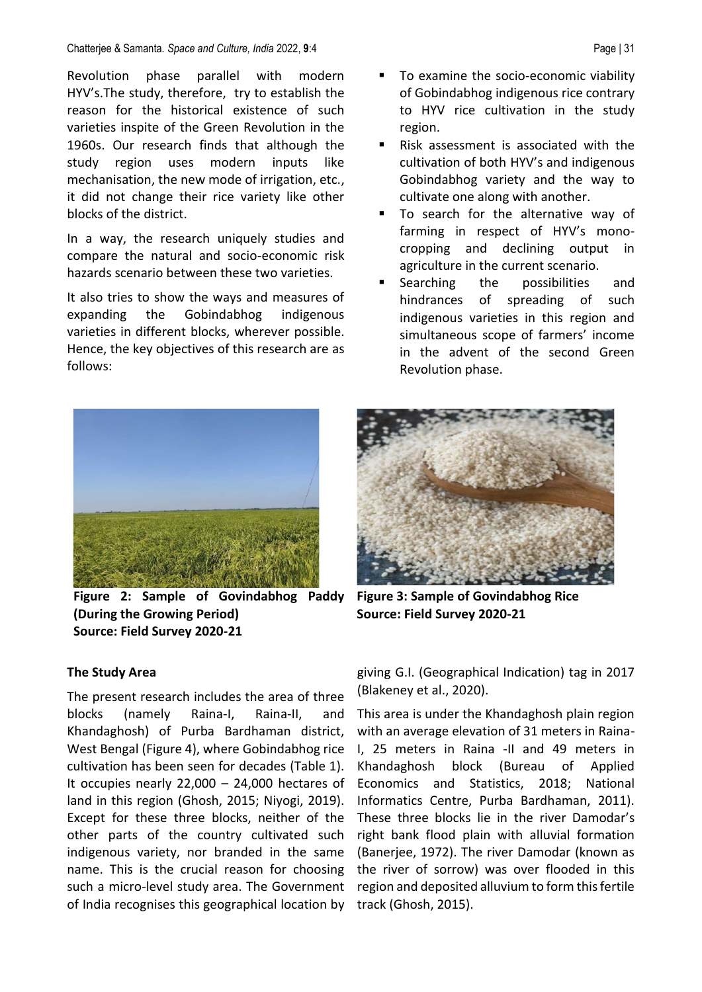#### Chatterjee & Samanta*. Space and Culture, India* 2022, **9**:4 Page | 31

Revolution phase parallel with modern HYV's.The study, therefore, try to establish the reason for the historical existence of such varieties inspite of the Green Revolution in the 1960s. Our research finds that although the study region uses modern inputs like mechanisation, the new mode of irrigation, etc., it did not change their rice variety like other blocks of the district.

In a way, the research uniquely studies and compare the natural and socio-economic risk hazards scenario between these two varieties.

It also tries to show the ways and measures of expanding the Gobindabhog indigenous varieties in different blocks, wherever possible. Hence, the key objectives of this research are as follows:

- To examine the socio-economic viability of Gobindabhog indigenous rice contrary to HYV rice cultivation in the study region.
- Risk assessment is associated with the cultivation of both HYV's and indigenous Gobindabhog variety and the way to cultivate one along with another.
- To search for the alternative way of farming in respect of HYV's monocropping and declining output in agriculture in the current scenario.
- Searching the possibilities and hindrances of spreading of such indigenous varieties in this region and simultaneous scope of farmers' income in the advent of the second Green Revolution phase.



**Figure 2: Sample of Govindabhog Paddy (During the Growing Period) Source: Field Survey 2020-21**



**Figure 3: Sample of Govindabhog Rice Source: Field Survey 2020-21**

#### **The Study Area**

The present research includes the area of three blocks (namely Raina-I, Raina-II, and Khandaghosh) of Purba Bardhaman district, West Bengal (Figure 4), where Gobindabhog rice cultivation has been seen for decades (Table 1). It occupies nearly 22,000 – 24,000 hectares of land in this region (Ghosh, 2015; Niyogi, 2019). Except for these three blocks, neither of the other parts of the country cultivated such indigenous variety, nor branded in the same name. This is the crucial reason for choosing such a micro-level study area. The Government of India recognises this geographical location by

giving G.I. (Geographical Indication) tag in 2017 (Blakeney et al., 2020).

This area is under the Khandaghosh plain region with an average elevation of 31 meters in Raina-I, 25 meters in Raina -II and 49 meters in Khandaghosh block (Bureau of Applied Economics and Statistics, 2018; National Informatics Centre, Purba Bardhaman, 2011). These three blocks lie in the river Damodar's right bank flood plain with alluvial formation (Banerjee, 1972). The river Damodar (known as the river of sorrow) was over flooded in this region and deposited alluvium to form this fertile track (Ghosh, 2015).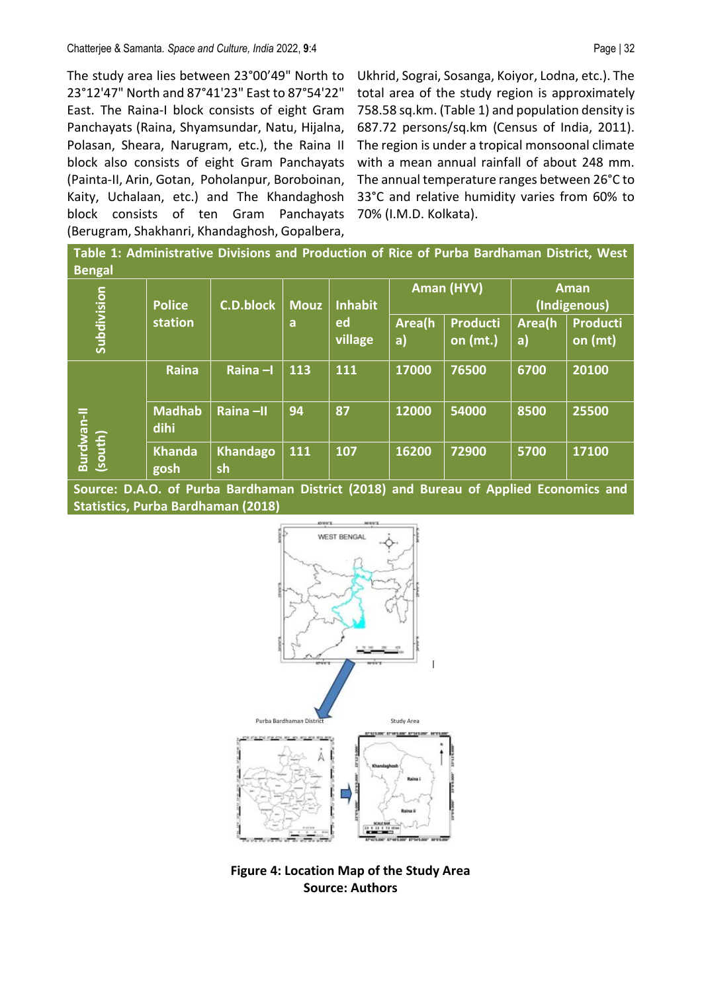The study area lies between 23°00'49" North to 23°12'47" North and 87°41'23" East to 87°54'22" East. The Raina-I block consists of eight Gram Panchayats (Raina, Shyamsundar, Natu, Hijalna, Polasan, Sheara, Narugram, etc.), the Raina II block also consists of eight Gram Panchayats (Painta-II, Arin, Gotan, Poholanpur, Boroboinan, Kaity, Uchalaan, etc.) and The Khandaghosh block consists of ten Gram Panchayats (Berugram, Shakhanri, Khandaghosh, Gopalbera,

Ukhrid, Sograi, Sosanga, Koiyor, Lodna, etc.). The total area of the study region is approximately 758.58 sq.km. (Table 1) and population density is 687.72 persons/sq.km (Census of India, 2011). The region is under a tropical monsoonal climate with a mean annual rainfall of about 248 mm. The annual temperature ranges between 26°C to 33°C and relative humidity varies from 60% to 70% (I.M.D. Kolkata).

**Table 1: Administrative Divisions and Production of Rice of Purba Bardhaman District, West Bengal**

| -                     | <b>Police</b><br>station | <b>C.D.block</b> | <b>Mouz</b> | <b>Inhabit</b> |              | Aman (HYV)<br>Aman<br>(Indigenous) |              |                            |
|-----------------------|--------------------------|------------------|-------------|----------------|--------------|------------------------------------|--------------|----------------------------|
| Subdivision           |                          |                  | a           | ed<br>village  | Area(h<br>a) | <b>Producti</b><br>on (mt.)        | Area(h<br>a) | <b>Producti</b><br>on (mt) |
| Burdwan-II<br>(south) | <b>Raina</b>             | Raina-I          | 113         | 111            | 17000        | 76500                              | 6700         | 20100                      |
|                       | <b>Madhab</b><br>dihi    | Raina-II         | 94          | 87             | 12000        | 54000                              | 8500         | 25500                      |
|                       | <b>Khanda</b><br>gosh    | Khandago<br>sh   | <b>111</b>  | 107            | 16200        | 72900                              | 5700         | 17100                      |

**Source: D.A.O. of Purba Bardhaman District (2018) and Bureau of Applied Economics and Statistics, Purba Bardhaman (2018)**



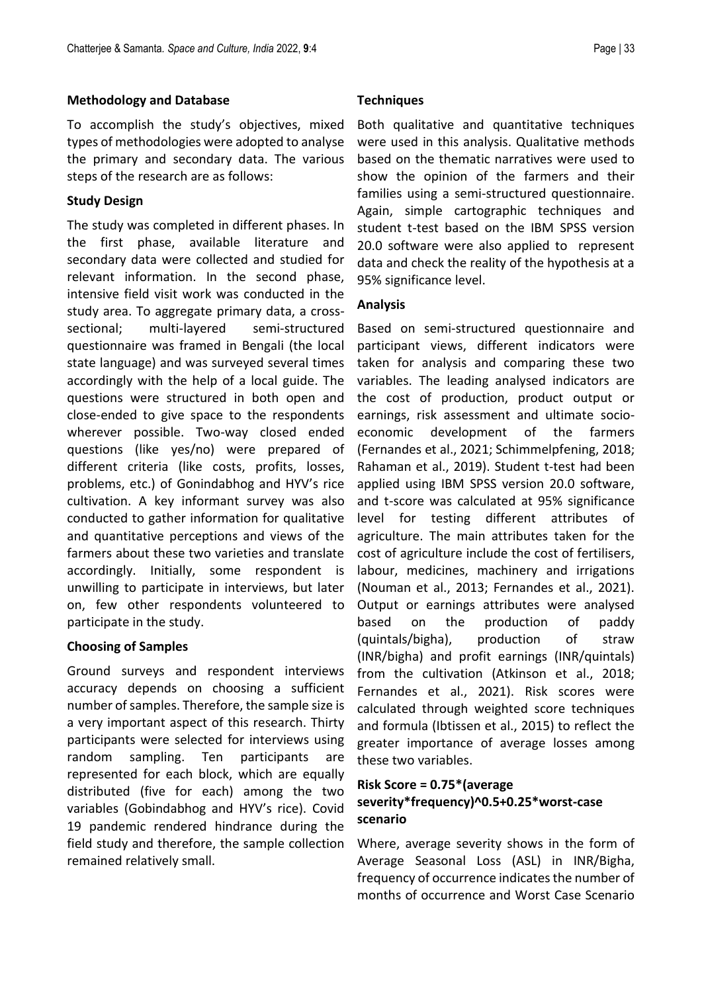#### **Methodology and Database**

To accomplish the study's objectives, mixed types of methodologies were adopted to analyse the primary and secondary data. The various steps of the research are as follows:

#### **Study Design**

The study was completed in different phases. In the first phase, available literature and secondary data were collected and studied for relevant information. In the second phase, intensive field visit work was conducted in the study area. To aggregate primary data, a crosssectional; multi-layered semi-structured questionnaire was framed in Bengali (the local state language) and was surveyed several times accordingly with the help of a local guide. The questions were structured in both open and close-ended to give space to the respondents wherever possible. Two-way closed ended questions (like yes/no) were prepared of different criteria (like costs, profits, losses, problems, etc.) of Gonindabhog and HYV's rice cultivation. A key informant survey was also conducted to gather information for qualitative and quantitative perceptions and views of the farmers about these two varieties and translate accordingly. Initially, some respondent is unwilling to participate in interviews, but later on, few other respondents volunteered to participate in the study.

## **Choosing of Samples**

Ground surveys and respondent interviews accuracy depends on choosing a sufficient number of samples. Therefore, the sample size is a very important aspect of this research. Thirty participants were selected for interviews using random sampling. Ten participants are represented for each block, which are equally distributed (five for each) among the two variables (Gobindabhog and HYV's rice). Covid 19 pandemic rendered hindrance during the field study and therefore, the sample collection remained relatively small.

Both qualitative and quantitative techniques were used in this analysis. Qualitative methods based on the thematic narratives were used to show the opinion of the farmers and their families using a semi-structured questionnaire. Again, simple cartographic techniques and student t-test based on the IBM SPSS version 20.0 software were also applied to represent data and check the reality of the hypothesis at a 95% significance level.

#### **Analysis**

Based on semi-structured questionnaire and participant views, different indicators were taken for analysis and comparing these two variables. The leading analysed indicators are the cost of production, product output or earnings, risk assessment and ultimate socioeconomic development of the farmers (Fernandes et al., 2021; Schimmelpfening, 2018; Rahaman et al., 2019). Student t-test had been applied using IBM SPSS version 20.0 software, and t-score was calculated at 95% significance level for testing different attributes of agriculture. The main attributes taken for the cost of agriculture include the cost of fertilisers, labour, medicines, machinery and irrigations (Nouman et al., 2013; Fernandes et al., 2021). Output or earnings attributes were analysed based on the production of paddy (quintals/bigha), production of straw (INR/bigha) and profit earnings (INR/quintals) from the cultivation (Atkinson et al., 2018; Fernandes et al., 2021). Risk scores were calculated through weighted score techniques and formula (Ibtissen et al., 2015) to reflect the greater importance of average losses among these two variables.

## **Risk Score = 0.75\*(average severity\*frequency)^0.5+0.25\*worst-case scenario**

Where, average severity shows in the form of Average Seasonal Loss (ASL) in INR/Bigha, frequency of occurrence indicates the number of months of occurrence and Worst Case Scenario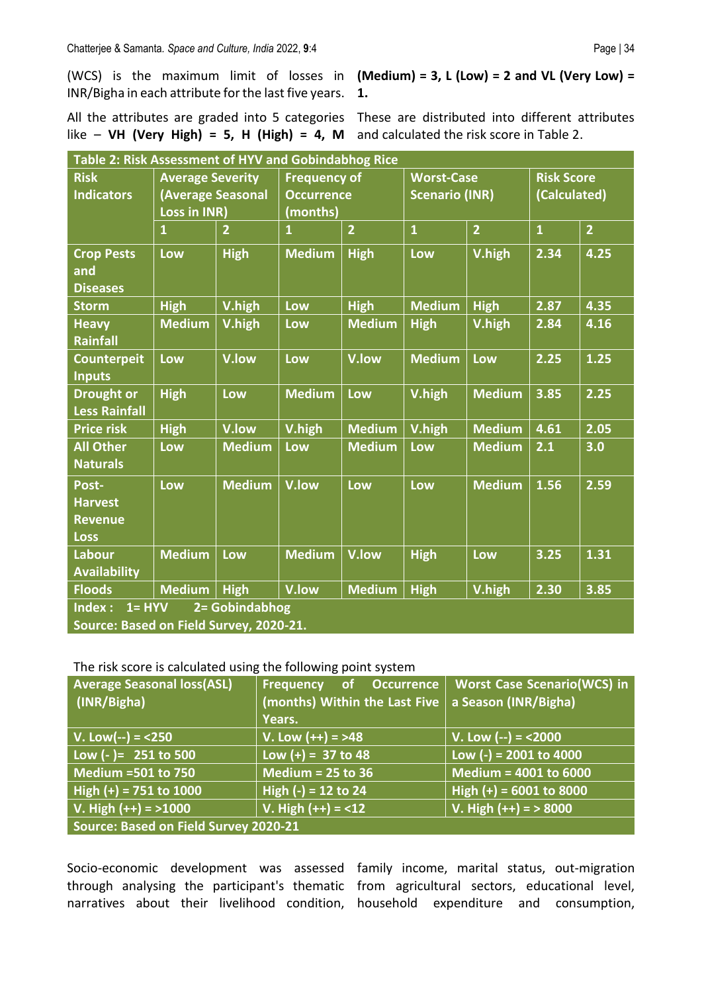(WCS) is the maximum limit of losses in **(Medium) = 3, L (Low) = 2 and VL (Very Low) =**  INR/Bigha in each attribute for the last five years. **1.** 

All the attributes are graded into 5 categories These are distributed into different attributes like – **VH (Very High) = 5, H (High) = 4, M**  and calculated the risk score in Table 2.

| Table 2: Risk Assessment of HYV and Gobindabhog Rice                              |                         |                |                     |                |                       |                |                   |                |
|-----------------------------------------------------------------------------------|-------------------------|----------------|---------------------|----------------|-----------------------|----------------|-------------------|----------------|
| <b>Risk</b>                                                                       | <b>Average Severity</b> |                | <b>Frequency of</b> |                | <b>Worst-Case</b>     |                | <b>Risk Score</b> |                |
| <b>Indicators</b>                                                                 | (Average Seasonal       |                | <b>Occurrence</b>   |                | <b>Scenario (INR)</b> |                | (Calculated)      |                |
|                                                                                   | Loss in INR)            |                | (months)            |                |                       |                |                   |                |
|                                                                                   | $\overline{1}$          | $\overline{2}$ | $\mathbf{1}$        | $\overline{2}$ | $\mathbf{1}$          | $\overline{2}$ | $\mathbf{1}$      | $\overline{2}$ |
| <b>Crop Pests</b><br>and<br><b>Diseases</b>                                       | Low                     | <b>High</b>    | <b>Medium</b>       | <b>High</b>    | Low                   | V.high         | 2.34              | 4.25           |
| <b>Storm</b>                                                                      | <b>High</b>             | V.high         | Low                 | <b>High</b>    | <b>Medium</b>         | <b>High</b>    | 2.87              | 4.35           |
| <b>Heavy</b><br><b>Rainfall</b>                                                   | <b>Medium</b>           | V.high         | <b>Low</b>          | <b>Medium</b>  | <b>High</b>           | V.high         | 2.84              | 4.16           |
| <b>Counterpeit</b><br><b>Inputs</b>                                               | <b>Low</b>              | V.low          | Low                 | V.low          | <b>Medium</b>         | Low            | 2.25              | 1.25           |
| <b>Drought or</b><br><b>Less Rainfall</b>                                         | <b>High</b>             | Low            | <b>Medium</b>       | Low            | V.high                | <b>Medium</b>  | 3.85              | 2.25           |
| <b>Price risk</b>                                                                 | <b>High</b>             | V.low          | V.high              | <b>Medium</b>  | V.high                | <b>Medium</b>  | 4.61              | 2.05           |
| <b>All Other</b><br><b>Naturals</b>                                               | Low                     | <b>Medium</b>  | Low                 | <b>Medium</b>  | Low                   | <b>Medium</b>  | 2.1               | 3.0            |
| Post-<br><b>Harvest</b><br><b>Revenue</b><br><b>Loss</b>                          | Low                     | <b>Medium</b>  | V.low               | Low            | Low                   | <b>Medium</b>  | 1.56              | 2.59           |
| <b>Labour</b><br><b>Availability</b>                                              | <b>Medium</b>           | Low            | <b>Medium</b>       | V.low          | <b>High</b>           | Low            | 3.25              | 1.31           |
| <b>Floods</b>                                                                     | <b>Medium</b>           | <b>High</b>    | V.low               | <b>Medium</b>  | <b>High</b>           | V.high         | 2.30              | 3.85           |
| $1 = HYV$<br>2 = Gobindabhog<br>Index:<br>Source: Based on Field Survey, 2020-21. |                         |                |                     |                |                       |                |                   |                |

The risk score is calculated using the following point system

| <b>Average Seasonal loss(ASL)</b><br>(INR/Bigha) | of Occurrence<br><b>Frequency</b><br>(months) Within the Last Five<br>Years. | <b>Worst Case Scenario(WCS) in</b><br>a Season (INR/Bigha) |  |  |  |  |
|--------------------------------------------------|------------------------------------------------------------------------------|------------------------------------------------------------|--|--|--|--|
| $V. Low(-) = 250$                                | V. Low $(++) = >48$                                                          | V. Low $(-) = 2000$                                        |  |  |  |  |
| Low $(-)$ = 251 to 500                           | Low $(+) = 37$ to 48                                                         | Low (-) = $2001$ to $4000$                                 |  |  |  |  |
| Medium = 501 to 750                              | Medium = $25$ to $36$                                                        | Medium = 4001 to 6000                                      |  |  |  |  |
| High $(+)$ = 751 to 1000                         | High (-) = 12 to 24                                                          | High $(+) = 6001$ to 8000                                  |  |  |  |  |
| V. High $(++) = >1000$                           | V. High $(++) = < 12$                                                        | V. High $(++) = > 8000$                                    |  |  |  |  |
| Source: Based on Field Survey 2020-21            |                                                                              |                                                            |  |  |  |  |

narratives about their livelihood condition, household expenditure and consumption,

Socio-economic development was assessed family income, marital status, out-migration through analysing the participant's thematic from agricultural sectors, educational level,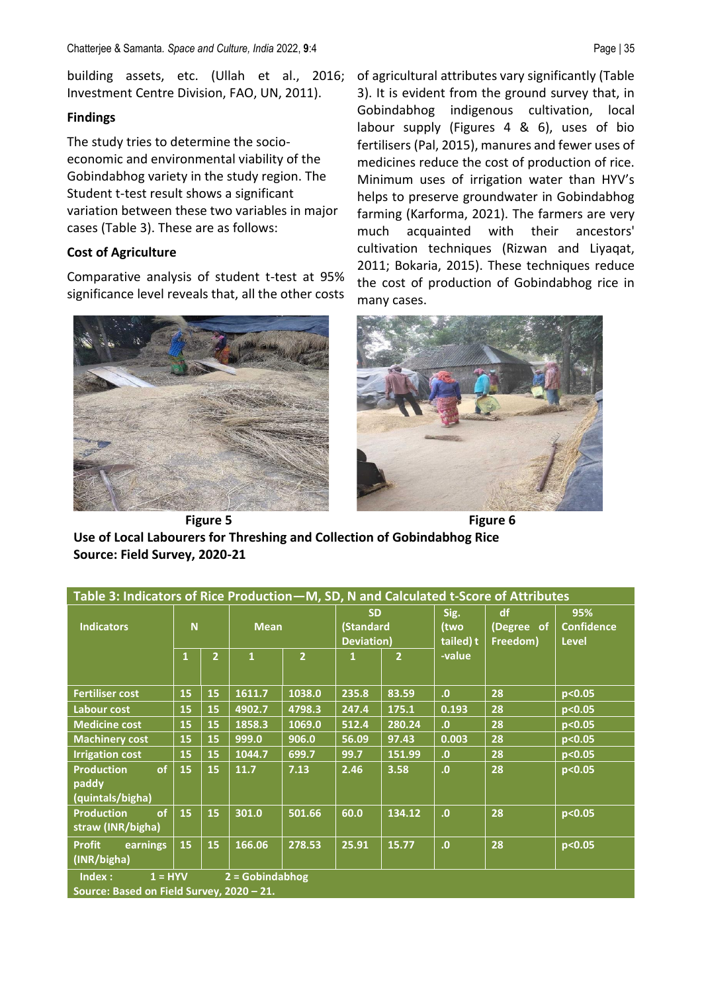building assets, etc. (Ullah et al., 2016; Investment Centre Division, FAO, UN, 2011).

## **Findings**

The study tries to determine the socioeconomic and environmental viability of the Gobindabhog variety in the study region. The Student t-test result shows a significant variation between these two variables in major cases (Table 3). These are as follows:

## **Cost of Agriculture**

Comparative analysis of student t-test at 95% significance level reveals that, all the other costs



of agricultural attributes vary significantly (Table 3). It is evident from the ground survey that, in Gobindabhog indigenous cultivation, local labour supply (Figures 4 & 6), uses of bio fertilisers (Pal, 2015), manures and fewer uses of medicines reduce the cost of production of rice. Minimum uses of irrigation water than HYV's helps to preserve groundwater in Gobindabhog farming (Karforma, 2021). The farmers are very much acquainted with their ancestors' cultivation techniques (Rizwan and Liyaqat, 2011; Bokaria, 2015). These techniques reduce the cost of production of Gobindabhog rice in many cases.



**Figure 5 Figure 6 Use of Local Labourers for Threshing and Collection of Gobindabhog Rice Source: Field Survey, 2020-21**

| Table 3: Indicators of Rice Production - M, SD, N and Calculated t-Score of Attributes |                |                |              |                |                                      |                |                           |                              |                                          |  |
|----------------------------------------------------------------------------------------|----------------|----------------|--------------|----------------|--------------------------------------|----------------|---------------------------|------------------------------|------------------------------------------|--|
| <b>Indicators</b>                                                                      | N <sub>1</sub> |                | <b>Mean</b>  |                | <b>SD</b><br>(Standard<br>Deviation) |                | Sig.<br>(two<br>tailed) t | df<br>(Degree of<br>Freedom) | 95%<br><b>Confidence</b><br><b>Level</b> |  |
|                                                                                        | $\mathbf{1}$   | $\overline{2}$ | $\mathbf{1}$ | $\overline{2}$ | 1                                    | $\overline{2}$ | -value                    |                              |                                          |  |
| <b>Fertiliser cost</b>                                                                 | 15             | 15             | 1611.7       | 1038.0         | 235.8                                | 83.59          | $\mathbf{0}$              | 28                           | p<0.05                                   |  |
| Labour cost                                                                            | 15             | 15             | 4902.7       | 4798.3         | 247.4                                | 175.1          | 0.193                     | 28                           | p<0.05                                   |  |
| <b>Medicine cost</b>                                                                   | 15             | 15             | 1858.3       | 1069.0         | 512.4                                | 280.24         | $\mathbf{0}$              | 28                           | p<0.05                                   |  |
| <b>Machinery cost</b>                                                                  | 15             | 15             | 999.0        | 906.0          | 56.09                                | 97.43          | 0.003                     | 28                           | p<0.05                                   |  |
| <b>Irrigation cost</b>                                                                 | 15             | 15             | 1044.7       | 699.7          | 99.7                                 | 151.99         | $\mathbf{0}$              | 28                           | p<0.05                                   |  |
| <b>Production</b><br>of<br>paddy<br>(quintals/bigha)                                   | 15             | 15             | 11.7         | 7.13           | 2.46                                 | 3.58           | .0                        | 28                           | p<0.05                                   |  |
| <b>Production</b><br>of<br>straw (INR/bigha)                                           | 15             | 15             | 301.0        | 501.66         | 60.0                                 | 134.12         | $\mathbf{0}$              | 28                           | p<0.05                                   |  |
| <b>Profit</b><br>earnings<br>(INR/bigha)                                               | 15             | 15             | 166.06       | 278.53         | 25.91                                | 15.77          | $\overline{0}$            | 28                           | p<0.05                                   |  |
| $2 = 6$ obindabhog<br>$1 = HYV$<br>Index:<br>Source: Based on Field Survey, 2020 - 21. |                |                |              |                |                                      |                |                           |                              |                                          |  |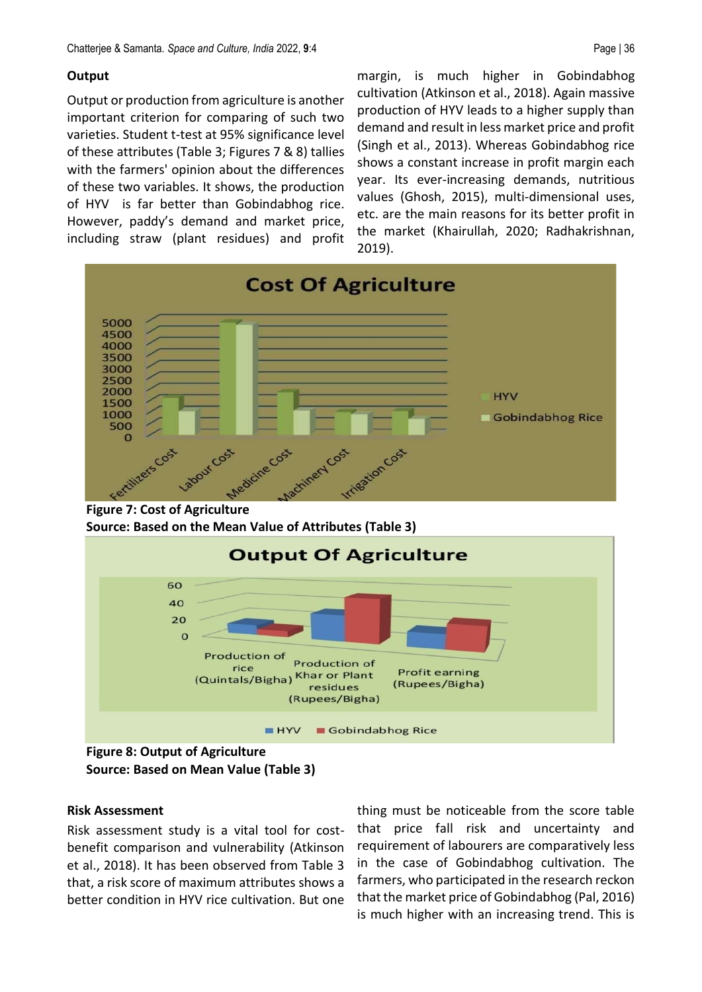## **Output**

Output or production from agriculture is another important criterion for comparing of such two varieties. Student t-test at 95% significance level of these attributes (Table 3; Figures 7 & 8) tallies with the farmers' opinion about the differences of these two variables. It shows, the production of HYV is far better than Gobindabhog rice. However, paddy's demand and market price, including straw (plant residues) and profit

margin, is much higher in Gobindabhog cultivation (Atkinson et al., 2018). Again massive production of HYV leads to a higher supply than demand and result in less market price and profit (Singh et al., 2013). Whereas Gobindabhog rice shows a constant increase in profit margin each year. Its ever-increasing demands, nutritious values (Ghosh, 2015), multi-dimensional uses, etc. are the main reasons for its better profit in the market (Khairullah, 2020; Radhakrishnan, 2019).



 **Source: Based on the Mean Value of Attributes (Table 3)**



 **Figure 8: Output of Agriculture Source: Based on Mean Value (Table 3)**

## **Risk Assessment**

Risk assessment study is a vital tool for costbenefit comparison and vulnerability (Atkinson et al., 2018). It has been observed from Table 3 that, a risk score of maximum attributes shows a better condition in HYV rice cultivation. But one

thing must be noticeable from the score table that price fall risk and uncertainty and requirement of labourers are comparatively less in the case of Gobindabhog cultivation. The farmers, who participated in the research reckon that the market price of Gobindabhog (Pal, 2016) is much higher with an increasing trend. This is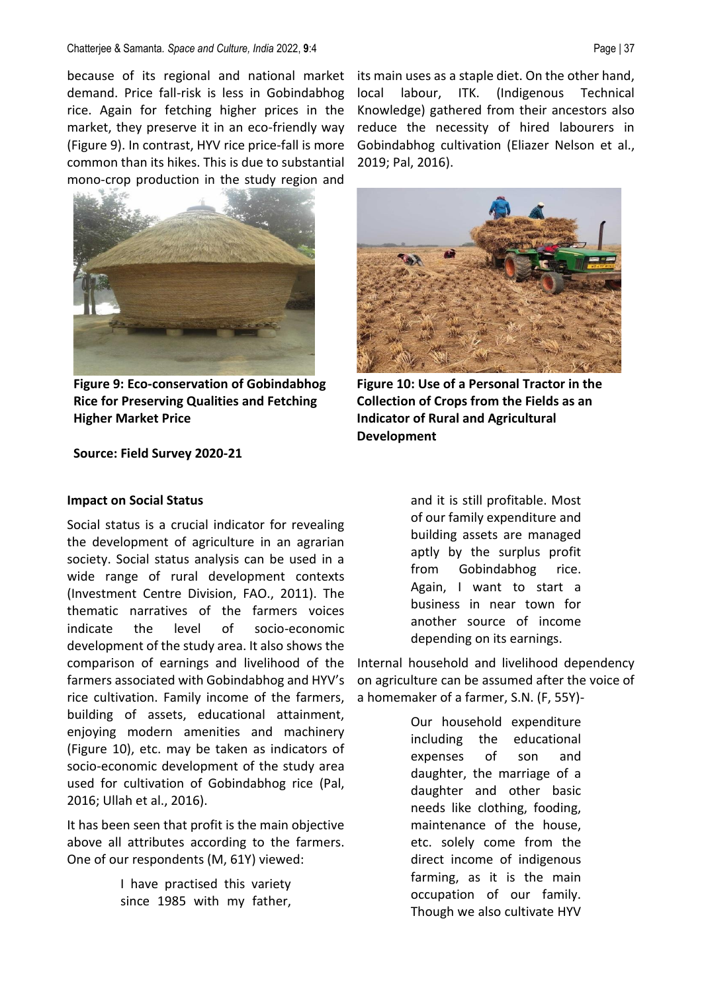#### Chatterjee & Samanta*. Space and Culture, India* 2022, **9**:4 Page | 37

because of its regional and national market demand. Price fall-risk is less in Gobindabhog rice. Again for fetching higher prices in the market, they preserve it in an eco-friendly way (Figure 9). In contrast, HYV rice price-fall is more common than its hikes. This is due to substantial mono-crop production in the study region and



**Figure 9: Eco-conservation of Gobindabhog Rice for Preserving Qualities and Fetching Higher Market Price**

**Source: Field Survey 2020-21**

# its main uses as a staple diet. On the other hand, local labour, ITK. (Indigenous Technical Knowledge) gathered from their ancestors also reduce the necessity of hired labourers in Gobindabhog cultivation (Eliazer Nelson et al., 2019; Pal, 2016).



**Figure 10: Use of a Personal Tractor in the Collection of Crops from the Fields as an Indicator of Rural and Agricultural Development**

#### **Impact on Social Status**

Social status is a crucial indicator for revealing the development of agriculture in an agrarian society. Social status analysis can be used in a wide range of rural development contexts (Investment Centre Division, FAO., 2011). The thematic narratives of the farmers voices indicate the level of socio-economic development of the study area. It also shows the comparison of earnings and livelihood of the farmers associated with Gobindabhog and HYV's rice cultivation. Family income of the farmers, building of assets, educational attainment, enjoying modern amenities and machinery (Figure 10), etc. may be taken as indicators of socio-economic development of the study area used for cultivation of Gobindabhog rice (Pal, 2016; Ullah et al., 2016).

It has been seen that profit is the main objective above all attributes according to the farmers. One of our respondents (M, 61Y) viewed:

> I have practised this variety since 1985 with my father,

and it is still profitable. Most of our family expenditure and building assets are managed aptly by the surplus profit from Gobindabhog rice. Again, I want to start a business in near town for another source of income depending on its earnings.

Internal household and livelihood dependency on agriculture can be assumed after the voice of a homemaker of a farmer, S.N. (F, 55Y)-

> Our household expenditure including the educational expenses of son and daughter, the marriage of a daughter and other basic needs like clothing, fooding, maintenance of the house, etc. solely come from the direct income of indigenous farming, as it is the main occupation of our family. Though we also cultivate HYV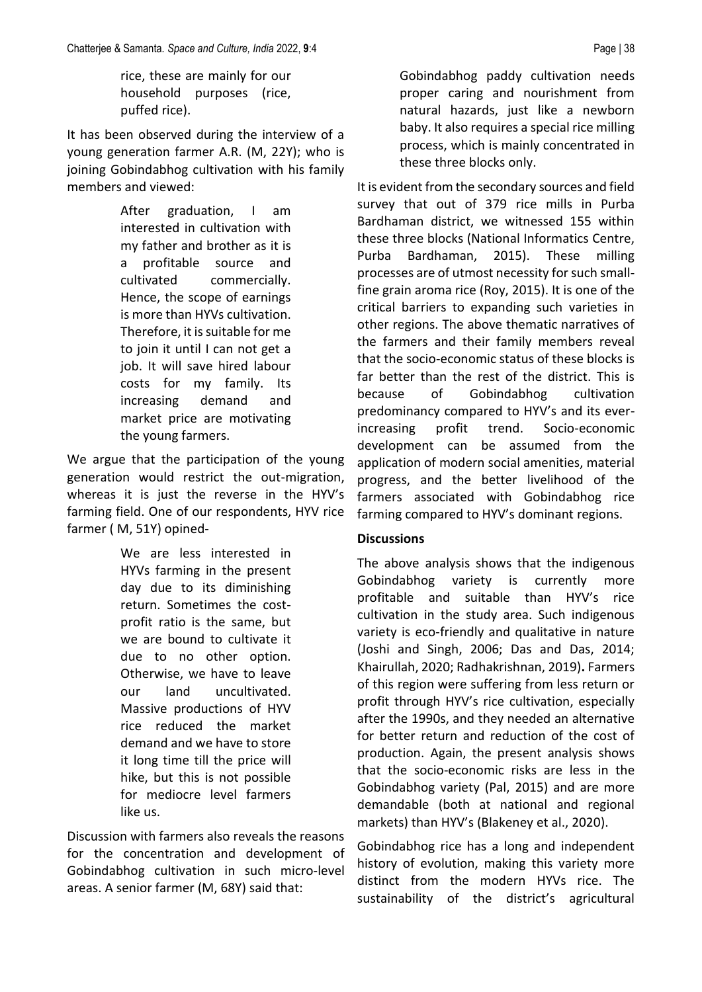rice, these are mainly for our household purposes (rice, puffed rice).

It has been observed during the interview of a young generation farmer A.R. (M, 22Y); who is joining Gobindabhog cultivation with his family members and viewed:

> After graduation, I am interested in cultivation with my father and brother as it is a profitable source and cultivated commercially. Hence, the scope of earnings is more than HYVs cultivation. Therefore, it is suitable for me to join it until I can not get a job. It will save hired labour costs for my family. Its increasing demand and market price are motivating the young farmers.

We argue that the participation of the young generation would restrict the out-migration, whereas it is just the reverse in the HYV's farming field. One of our respondents, HYV rice farmer ( M, 51Y) opined-

> We are less interested in HYVs farming in the present day due to its diminishing return. Sometimes the costprofit ratio is the same, but we are bound to cultivate it due to no other option. Otherwise, we have to leave our land uncultivated. Massive productions of HYV rice reduced the market demand and we have to store it long time till the price will hike, but this is not possible for mediocre level farmers like us.

Discussion with farmers also reveals the reasons for the concentration and development of Gobindabhog cultivation in such micro-level areas. A senior farmer (M, 68Y) said that:

Gobindabhog paddy cultivation needs proper caring and nourishment from natural hazards, just like a newborn baby. It also requires a special rice milling process, which is mainly concentrated in these three blocks only.

It is evident from the secondary sources and field survey that out of 379 rice mills in Purba Bardhaman district, we witnessed 155 within these three blocks (National Informatics Centre, Purba Bardhaman, 2015). These milling processes are of utmost necessity for such smallfine grain aroma rice (Roy, 2015). It is one of the critical barriers to expanding such varieties in other regions. The above thematic narratives of the farmers and their family members reveal that the socio-economic status of these blocks is far better than the rest of the district. This is because of Gobindabhog cultivation predominancy compared to HYV's and its everincreasing profit trend. Socio-economic development can be assumed from the application of modern social amenities, material progress, and the better livelihood of the farmers associated with Gobindabhog rice farming compared to HYV's dominant regions.

## **Discussions**

The above analysis shows that the indigenous Gobindabhog variety is currently more profitable and suitable than HYV's rice cultivation in the study area. Such indigenous variety is eco-friendly and qualitative in nature (Joshi and Singh, 2006; Das and Das, 2014; Khairullah, 2020; Radhakrishnan, 2019)**.** Farmers of this region were suffering from less return or profit through HYV's rice cultivation, especially after the 1990s, and they needed an alternative for better return and reduction of the cost of production. Again, the present analysis shows that the socio-economic risks are less in the Gobindabhog variety (Pal, 2015) and are more demandable (both at national and regional markets) than HYV's (Blakeney et al., 2020).

Gobindabhog rice has a long and independent history of evolution, making this variety more distinct from the modern HYVs rice. The sustainability of the district's agricultural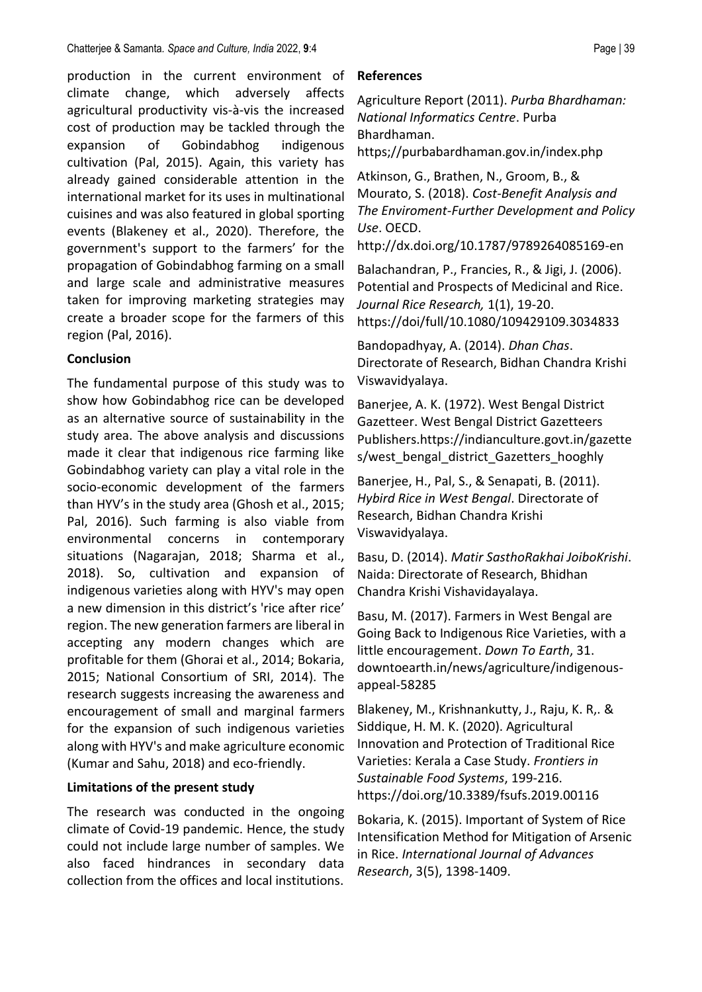production in the current environment of climate change, which adversely affects agricultural productivity vis-à-vis the increased cost of production may be tackled through the expansion of Gobindabhog indigenous cultivation (Pal, 2015). Again, this variety has already gained considerable attention in the international market for its uses in multinational cuisines and was also featured in global sporting events (Blakeney et al., 2020). Therefore, the government's support to the farmers' for the propagation of Gobindabhog farming on a small and large scale and administrative measures taken for improving marketing strategies may create a broader scope for the farmers of this region (Pal, 2016).

## **Conclusion**

The fundamental purpose of this study was to show how Gobindabhog rice can be developed as an alternative source of sustainability in the study area. The above analysis and discussions made it clear that indigenous rice farming like Gobindabhog variety can play a vital role in the socio-economic development of the farmers than HYV's in the study area (Ghosh et al., 2015; Pal, 2016). Such farming is also viable from environmental concerns in contemporary situations (Nagarajan, 2018; Sharma et al., 2018). So, cultivation and expansion of indigenous varieties along with HYV's may open a new dimension in this district's 'rice after rice' region. The new generation farmers are liberal in accepting any modern changes which are profitable for them (Ghorai et al., 2014; Bokaria, 2015; National Consortium of SRI, 2014). The research suggests increasing the awareness and encouragement of small and marginal farmers for the expansion of such indigenous varieties along with HYV's and make agriculture economic (Kumar and Sahu, 2018) and eco-friendly.

## **Limitations of the present study**

The research was conducted in the ongoing climate of Covid-19 pandemic. Hence, the study could not include large number of samples. We also faced hindrances in secondary data collection from the offices and local institutions.

## **References**

Agriculture Report (2011). *Purba Bhardhaman: National Informatics Centre*. Purba Bhardhaman.

https;//purbabardhaman.gov.in/index.php

Atkinson, G., Brathen, N., Groom, B., & Mourato, S. (2018). *Cost-Benefit Analysis and The Enviroment-Further Development and Policy Use*. OECD.

http://dx.doi.org/10.1787/9789264085169-en

Balachandran, P., Francies, R., & Jigi, J. (2006). Potential and Prospects of Medicinal and Rice. *Journal Rice Research,* 1(1), 19-20. https://doi/full/10.1080/109429109.3034833

Bandopadhyay, A. (2014). *Dhan Chas*. Directorate of Research, Bidhan Chandra Krishi Viswavidyalaya.

Banerjee, A. K. (1972). West Bengal District Gazetteer. West Bengal District Gazetteers Publishers.https://indianculture.govt.in/gazette s/west\_bengal\_district\_Gazetters\_hooghly

Banerjee, H., Pal, S., & Senapati, B. (2011). *Hybird Rice in West Bengal*. Directorate of Research, Bidhan Chandra Krishi Viswavidyalaya.

Basu, D. (2014). *Matir SasthoRakhai JoiboKrishi*. Naida: Directorate of Research, Bhidhan Chandra Krishi Vishavidayalaya.

Basu, M. (2017). Farmers in West Bengal are Going Back to Indigenous Rice Varieties, with a little encouragement. *Down To Earth*, 31. downtoearth.in/news/agriculture/indigenousappeal-58285

Blakeney, M., Krishnankutty, J., Raju, K. R,. & Siddique, H. M. K. (2020). Agricultural Innovation and Protection of Traditional Rice Varieties: Kerala a Case Study. *Frontiers in Sustainable Food Systems*, 199-216. https://doi.org/10.3389/fsufs.2019.00116

Bokaria, K. (2015). Important of System of Rice Intensification Method for Mitigation of Arsenic in Rice. *International Journal of Advances Research*, 3(5), 1398-1409.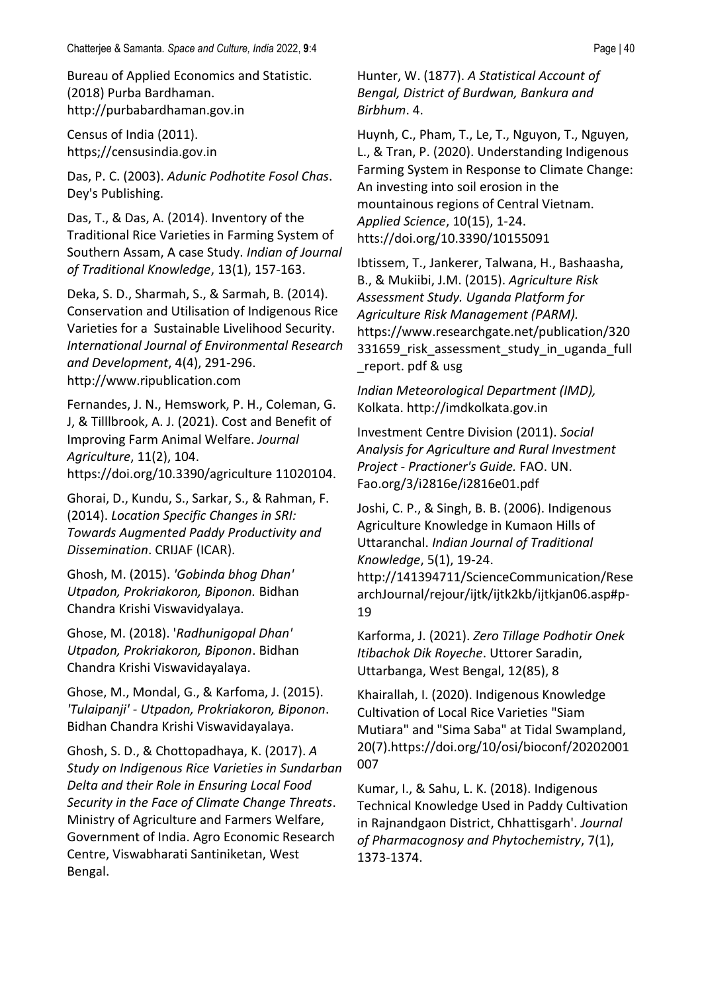Bureau of Applied Economics and Statistic. (2018) Purba Bardhaman. http://purbabardhaman.gov.in

Census of India (2011). https;//censusindia.gov.in

Das, P. C. (2003). *Adunic Podhotite Fosol Chas*. Dey's Publishing.

Das, T., & Das, A. (2014). Inventory of the Traditional Rice Varieties in Farming System of Southern Assam, A case Study. *Indian of Journal of Traditional Knowledge*, 13(1), 157-163.

Deka, S. D., Sharmah, S., & Sarmah, B. (2014). Conservation and Utilisation of Indigenous Rice Varieties for a Sustainable Livelihood Security. *International Journal of Environmental Research and Development*, 4(4), 291-296. http://www.ripublication.com

Fernandes, J. N., Hemswork, P. H., Coleman, G. J, & Tilllbrook, A. J. (2021). Cost and Benefit of Improving Farm Animal Welfare. *Journal Agriculture*, 11(2), 104. https://doi.org/10.3390/agriculture 11020104.

Ghorai, D., Kundu, S., Sarkar, S., & Rahman, F. (2014). *Location Specific Changes in SRI: Towards Augmented Paddy Productivity and Dissemination*. CRIJAF (ICAR).

Ghosh, M. (2015). *'Gobinda bhog Dhan' Utpadon, Prokriakoron, Biponon.* Bidhan Chandra Krishi Viswavidyalaya.

Ghose, M. (2018). '*Radhunigopal Dhan' Utpadon, Prokriakoron, Biponon*. Bidhan Chandra Krishi Viswavidayalaya.

Ghose, M., Mondal, G., & Karfoma, J. (2015). *'Tulaipanji' - Utpadon, Prokriakoron, Biponon*. Bidhan Chandra Krishi Viswavidayalaya.

Ghosh, S. D., & Chottopadhaya, K. (2017). *A Study on Indigenous Rice Varieties in Sundarban Delta and their Role in Ensuring Local Food Security in the Face of Climate Change Threats*. Ministry of Agriculture and Farmers Welfare, Government of India. Agro Economic Research Centre, Viswabharati Santiniketan, West Bengal.

Hunter, W. (1877). *A Statistical Account of Bengal, District of Burdwan, Bankura and Birbhum*. 4.

Huynh, C., Pham, T., Le, T., Nguyon, T., Nguyen, L., & Tran, P. (2020). Understanding Indigenous Farming System in Response to Climate Change: An investing into soil erosion in the mountainous regions of Central Vietnam. *Applied Science*, 10(15), 1-24. htts://doi.org/10.3390/10155091

Ibtissem, T., Jankerer, Talwana, H., Bashaasha, B., & Mukiibi, J.M. (2015). *Agriculture Risk Assessment Study. Uganda Platform for Agriculture Risk Management (PARM).* https://www.researchgate.net/publication/320 331659\_risk\_assessment\_study\_in\_uganda\_full \_report. pdf & usg

*Indian Meteorological Department (IMD),* Kolkata. http://imdkolkata.gov.in

Investment Centre Division (2011). *Social Analysis for Agriculture and Rural Investment Project - Practioner's Guide.* FAO. UN. Fao.org/3/i2816e/i2816e01.pdf

Joshi, C. P., & Singh, B. B. (2006). Indigenous Agriculture Knowledge in Kumaon Hills of Uttaranchal. *Indian Journal of Traditional Knowledge*, 5(1), 19-24. http://141394711/ScienceCommunication/Rese archJournal/rejour/ijtk/ijtk2kb/ijtkjan06.asp#p-19

Karforma, J. (2021). *Zero Tillage Podhotir Onek Itibachok Dik Royeche*. Uttorer Saradin, Uttarbanga, West Bengal, 12(85), 8

Khairallah, I. (2020). Indigenous Knowledge Cultivation of Local Rice Varieties "Siam Mutiara" and "Sima Saba" at Tidal Swampland, 20(7).https://doi.org/10/osi/bioconf/20202001 007

Kumar, I., & Sahu, L. K. (2018). Indigenous Technical Knowledge Used in Paddy Cultivation in Rajnandgaon District, Chhattisgarh'. *Journal of Pharmacognosy and Phytochemistry*, 7(1), 1373-1374.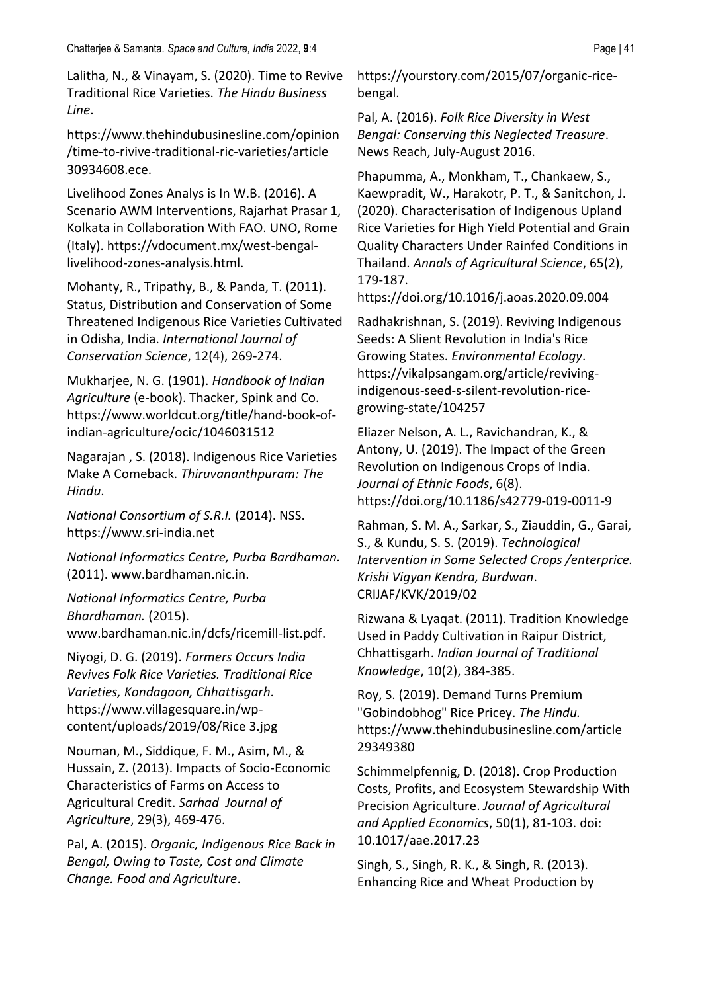Lalitha, N., & Vinayam, S. (2020). Time to Revive Traditional Rice Varieties. *The Hindu Business Line*.

https://www.thehindubusinesline.com/opinion /time-to-rivive-traditional-ric-varieties/article 30934608.ece.

Livelihood Zones Analys is In W.B. (2016). A Scenario AWM Interventions, Rajarhat Prasar 1, Kolkata in Collaboration With FAO. UNO, Rome (Italy). https://vdocument.mx/west-bengallivelihood-zones-analysis.html.

Mohanty, R., Tripathy, B., & Panda, T. (2011). Status, Distribution and Conservation of Some Threatened Indigenous Rice Varieties Cultivated in Odisha, India. *International Journal of Conservation Science*, 12(4), 269-274.

Mukharjee, N. G. (1901). *Handbook of Indian Agriculture* (e-book). Thacker, Spink and Co. https://www.worldcut.org/title/hand-book-ofindian-agriculture/ocic/1046031512

Nagarajan , S. (2018). Indigenous Rice Varieties Make A Comeback. *Thiruvananthpuram: The Hindu*.

*National Consortium of S.R.I.* (2014). NSS. https://www.sri-india.net

*National Informatics Centre, Purba Bardhaman.* (2011). www.bardhaman.nic.in.

*National Informatics Centre, Purba Bhardhaman.* (2015). www.bardhaman.nic.in/dcfs/ricemill-list.pdf.

Niyogi, D. G. (2019). *Farmers Occurs India Revives Folk Rice Varieties. Traditional Rice Varieties, Kondagaon, Chhattisgarh*. https://www.villagesquare.in/wpcontent/uploads/2019/08/Rice 3.jpg

Nouman, M., Siddique, F. M., Asim, M., & Hussain, Z. (2013). Impacts of Socio-Economic Characteristics of Farms on Access to Agricultural Credit. *Sarhad Journal of Agriculture*, 29(3), 469-476.

Pal, A. (2015). *Organic, Indigenous Rice Back in Bengal, Owing to Taste, Cost and Climate Change. Food and Agriculture*.

https://yourstory.com/2015/07/organic-ricebengal.

Pal, A. (2016). *Folk Rice Diversity in West Bengal: Conserving this Neglected Treasure*. News Reach, July-August 2016.

Phapumma, A., Monkham, T., Chankaew, S., Kaewpradit, W., Harakotr, P. T., & Sanitchon, J. (2020). Characterisation of Indigenous Upland Rice Varieties for High Yield Potential and Grain Quality Characters Under Rainfed Conditions in Thailand. *Annals of Agricultural Science*, 65(2), 179-187.

https://doi.org/10.1016/j.aoas.2020.09.004

Radhakrishnan, S. (2019). Reviving Indigenous Seeds: A Slient Revolution in India's Rice Growing States. *Environmental Ecology*. [https://vikalpsangam.org/article/reviving](https://vikalpsangam.org/article/reviving-indigenous-seed-s-silent-revolution-rice-growing-state/104257)[indigenous-seed-s-silent-revolution-rice](https://vikalpsangam.org/article/reviving-indigenous-seed-s-silent-revolution-rice-growing-state/104257)[growing-state/104257](https://vikalpsangam.org/article/reviving-indigenous-seed-s-silent-revolution-rice-growing-state/104257)

Eliazer Nelson, A. L., Ravichandran, K., & Antony, U. (2019). The Impact of the Green Revolution on Indigenous Crops of India. *Journal of Ethnic Foods*, 6(8). https://doi.org/10.1186/s42779-019-0011-9

Rahman, S. M. A., Sarkar, S., Ziauddin, G., Garai, S., & Kundu, S. S. (2019). *Technological Intervention in Some Selected Crops /enterprice. Krishi Vigyan Kendra, Burdwan*. CRIJAF/KVK/2019/02

Rizwana & Lyaqat. (2011). Tradition Knowledge Used in Paddy Cultivation in Raipur District, Chhattisgarh. *Indian Journal of Traditional Knowledge*, 10(2), 384-385.

Roy, S. (2019). Demand Turns Premium "Gobindobhog" Rice Pricey. *The Hindu.* https://www.thehindubusinesline.com/article 29349380

Schimmelpfennig, D. (2018). Crop Production Costs, Profits, and Ecosystem Stewardship With Precision Agriculture. *Journal of Agricultural and Applied Economics*, 50(1), 81-103. doi: 10.1017/aae.2017.23

Singh, S., Singh, R. K., & Singh, R. (2013). Enhancing Rice and Wheat Production by